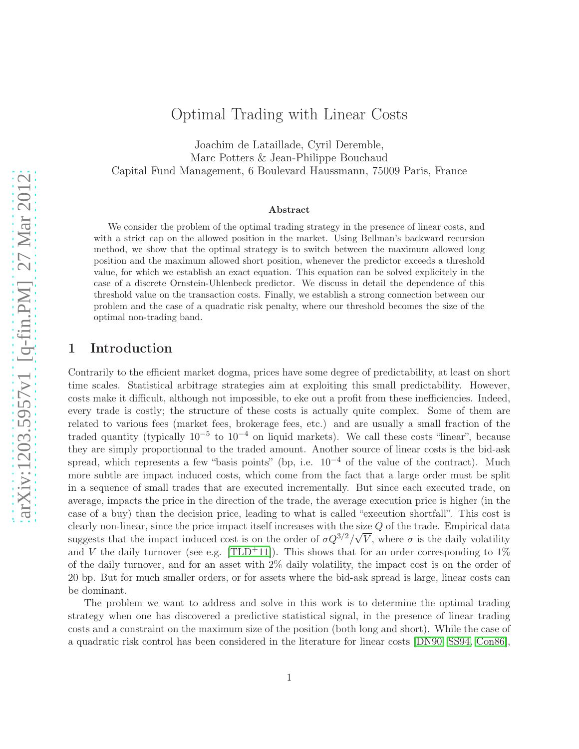# Optimal Trading with Linear Costs

Joachim de Lataillade, Cyril Deremble, Marc Potters & Jean-Philippe Bouchaud Capital Fund Management, 6 Boulevard Haussmann, 75009 Paris, France

#### Abstract

We consider the problem of the optimal trading strategy in the presence of linear costs, and with a strict cap on the allowed position in the market. Using Bellman's backward recursion method, we show that the optimal strategy is to switch between the maximum allowed long position and the maximum allowed short position, whenever the predictor exceeds a threshold value, for which we establish an exact equation. This equation can be solved explicitely in the case of a discrete Ornstein-Uhlenbeck predictor. We discuss in detail the dependence of this threshold value on the transaction costs. Finally, we establish a strong connection between our problem and the case of a quadratic risk penalty, where our threshold becomes the size of the optimal non-trading band.

## 1 Introduction

Contrarily to the efficient market dogma, prices have some degree of predictability, at least on short time scales. Statistical arbitrage strategies aim at exploiting this small predictability. However, costs make it difficult, although not impossible, to eke out a profit from these inefficiencies. Indeed, every trade is costly; the structure of these costs is actually quite complex. Some of them are related to various fees (market fees, brokerage fees, etc.) and are usually a small fraction of the traded quantity (typically  $10^{-5}$  to  $10^{-4}$  on liquid markets). We call these costs "linear", because they are simply proportionnal to the traded amount. Another source of linear costs is the bid-ask spread, which represents a few "basis points" (bp, i.e.  $10^{-4}$  of the value of the contract). Much more subtle are impact induced costs, which come from the fact that a large order must be split in a sequence of small trades that are executed incrementally. But since each executed trade, on average, impacts the price in the direction of the trade, the average execution price is higher (in the case of a buy) than the decision price, leading to what is called "execution shortfall". This cost is clearly non-linear, since the price impact itself increases with the size  $Q$  of the trade. Empirical data suggests that the impact induced cost is on the order of  $\sigma Q^{3/2}/\sqrt{V}$ , where  $\sigma$  is the daily volatility and V the daily turnover (see e.g. [\[TLD](#page-19-0)<sup>+</sup>11]). This shows that for an order corresponding to 1% of the daily turnover, and for an asset with 2% daily volatility, the impact cost is on the order of 20 bp. But for much smaller orders, or for assets where the bid-ask spread is large, linear costs can be dominant.

The problem we want to address and solve in this work is to determine the optimal trading strategy when one has discovered a predictive statistical signal, in the presence of linear trading costs and a constraint on the maximum size of the position (both long and short). While the case of a quadratic risk control has been considered in the literature for linear costs [\[DN90,](#page-19-1) [SS94,](#page-19-2) [Con86\]](#page-19-3),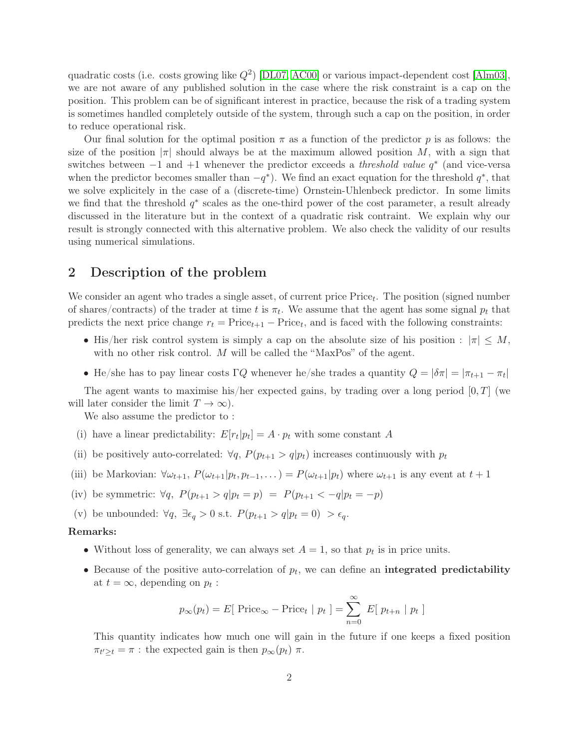quadratic costs (i.e. costs growing like  $Q^2$ ) [\[DL07,](#page-19-4) [AC00\]](#page-19-5) or various impact-dependent cost [\[Alm03\]](#page-19-6), we are not aware of any published solution in the case where the risk constraint is a cap on the position. This problem can be of significant interest in practice, because the risk of a trading system is sometimes handled completely outside of the system, through such a cap on the position, in order to reduce operational risk.

Our final solution for the optimal position  $\pi$  as a function of the predictor p is as follows: the size of the position  $|\pi|$  should always be at the maximum allowed position M, with a sign that switches between  $-1$  and  $+1$  whenever the predictor exceeds a *threshold value*  $q^*$  (and vice-versa when the predictor becomes smaller than  $-q^*$ ). We find an exact equation for the threshold  $q^*$ , that we solve explicitely in the case of a (discrete-time) Ornstein-Uhlenbeck predictor. In some limits we find that the threshold  $q^*$  scales as the one-third power of the cost parameter, a result already discussed in the literature but in the context of a quadratic risk contraint. We explain why our result is strongly connected with this alternative problem. We also check the validity of our results using numerical simulations.

## <span id="page-1-2"></span>2 Description of the problem

We consider an agent who trades a single asset, of current price  $Price<sub>t</sub>$ . The position (signed number of shares/contracts) of the trader at time t is  $\pi_t$ . We assume that the agent has some signal  $p_t$  that predicts the next price change  $r_t = \text{Price}_{t+1} - \text{Price}_{t}$ , and is faced with the following constraints:

- His/her risk control system is simply a cap on the absolute size of his position :  $|\pi| \leq M$ , with no other risk control. M will be called the "MaxPos" of the agent.
- He/she has to pay linear costs  $\Gamma Q$  whenever he/she trades a quantity  $Q = |\delta \pi| = |\pi_{t+1} \pi_t|$

The agent wants to maximise his/her expected gains, by trading over a long period  $[0, T]$  (we will later consider the limit  $T \to \infty$ ).

<span id="page-1-0"></span>We also assume the predictor to :

- (i) have a linear predictability:  $E[r_t|p_t] = A \cdot p_t$  with some constant A
- (ii) be positively auto-correlated:  $\forall q, P(p_{t+1} > q|p_t)$  increases continuously with  $p_t$
- (iii) be Markovian:  $\forall \omega_{t+1}, P(\omega_{t+1}|p_t, p_{t-1}, \dots) = P(\omega_{t+1}|p_t)$  where  $\omega_{t+1}$  is any event at  $t+1$
- <span id="page-1-1"></span>(iv) be symmetric:  $\forall q, P(p_{t+1} > q | p_t = p) = P(p_{t+1} < -q | p_t = -p)$
- (v) be unbounded:  $\forall q, \exists \epsilon_q > 0 \text{ s.t. } P(p_{t+1} > q | p_t = 0) > \epsilon_q.$

#### Remarks:

- Without loss of generality, we can always set  $A = 1$ , so that  $p_t$  is in price units.
- Because of the positive auto-correlation of  $p_t$ , we can define an **integrated predictability** at  $t = \infty$ , depending on  $p_t$ :

$$
p_{\infty}(p_t) = E[ \text{ Price}_{\infty} - \text{Price}_{t} | p_t ] = \sum_{n=0}^{\infty} E[ p_{t+n} | p_t ]
$$

This quantity indicates how much one will gain in the future if one keeps a fixed position  $\pi_{t'\geq t} = \pi$ : the expected gain is then  $p_{\infty}(p_t)$   $\pi$ .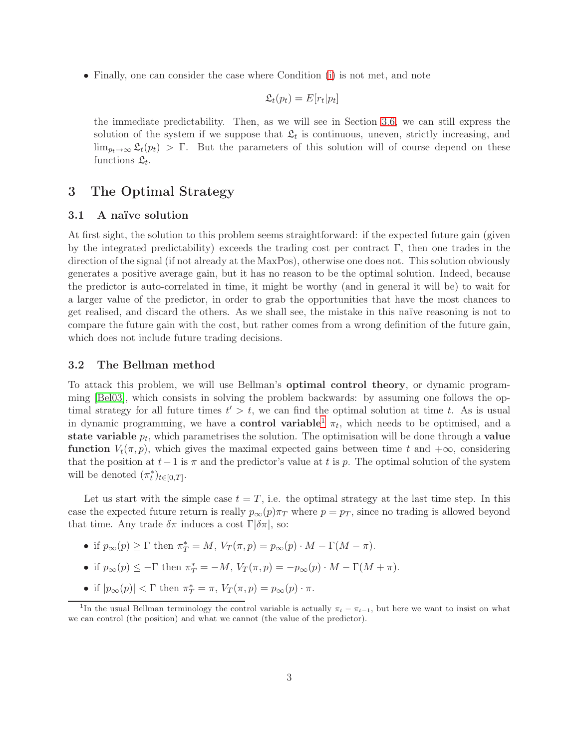• Finally, one can consider the case where Condition [\(i\)](#page-1-0) is not met, and note

$$
\mathfrak{L}_t(p_t) = E[r_t|p_t]
$$

the immediate predictability. Then, as we will see in Section [3.6,](#page-9-0) we can still express the solution of the system if we suppose that  $\mathfrak{L}_t$  is continuous, uneven, strictly increasing, and  $\lim_{p_t\to\infty} \mathfrak{L}_t(p_t) > \Gamma$ . But the parameters of this solution will of course depend on these functions  $\mathfrak{L}_t$ .

## <span id="page-2-2"></span>3 The Optimal Strategy

### 3.1 A naïve solution

At first sight, the solution to this problem seems straightforward: if the expected future gain (given by the integrated predictability) exceeds the trading cost per contract  $\Gamma$ , then one trades in the direction of the signal (if not already at the MaxPos), otherwise one does not. This solution obviously generates a positive average gain, but it has no reason to be the optimal solution. Indeed, because the predictor is auto-correlated in time, it might be worthy (and in general it will be) to wait for a larger value of the predictor, in order to grab the opportunities that have the most chances to get realised, and discard the others. As we shall see, the mistake in this naïve reasoning is not to compare the future gain with the cost, but rather comes from a wrong definition of the future gain, which does not include future trading decisions.

#### <span id="page-2-1"></span>3.2 The Bellman method

To attack this problem, we will use Bellman's optimal control theory, or dynamic programming [\[Bel03\]](#page-19-7), which consists in solving the problem backwards: by assuming one follows the optimal strategy for all future times  $t' > t$ , we can find the optimal solution at time t. As is usual in dynamic programming, we have a **control variable**  $\pi$ <sub>t</sub>, which needs to be optimised, and a state variable  $p_t$ , which parametrises the solution. The optimisation will be done through a value function  $V_t(\pi, p)$ , which gives the maximal expected gains between time t and  $+\infty$ , considering that the position at  $t-1$  is  $\pi$  and the predictor's value at t is p. The optimal solution of the system will be denoted  $(\pi_t^*)_{t \in [0,T]}$ .

Let us start with the simple case  $t = T$ , i.e. the optimal strategy at the last time step. In this case the expected future return is really  $p_{\infty}(p)\pi_T$  where  $p = p_T$ , since no trading is allowed beyond that time. Any trade  $\delta \pi$  induces a cost  $\Gamma[\delta \pi]$ , so:

- if  $p_{\infty}(p) \geq \Gamma$  then  $\pi^*_T = M$ ,  $V_T(\pi, p) = p_{\infty}(p) \cdot M \Gamma(M \pi)$ .
- if  $p_{\infty}(p) \leq -\Gamma$  then  $\pi^* = -M$ ,  $V_T(\pi, p) = -p_{\infty}(p) \cdot M \Gamma(M + \pi)$ .
- if  $|p_{\infty}(p)| < \Gamma$  then  $\pi^*_T = \pi$ ,  $V_T(\pi, p) = p_{\infty}(p) \cdot \pi$ .

<span id="page-2-0"></span><sup>&</sup>lt;sup>1</sup>In the usual Bellman terminology the control variable is actually  $\pi_t - \pi_{t-1}$ , but here we want to insist on what we can control (the position) and what we cannot (the value of the predictor).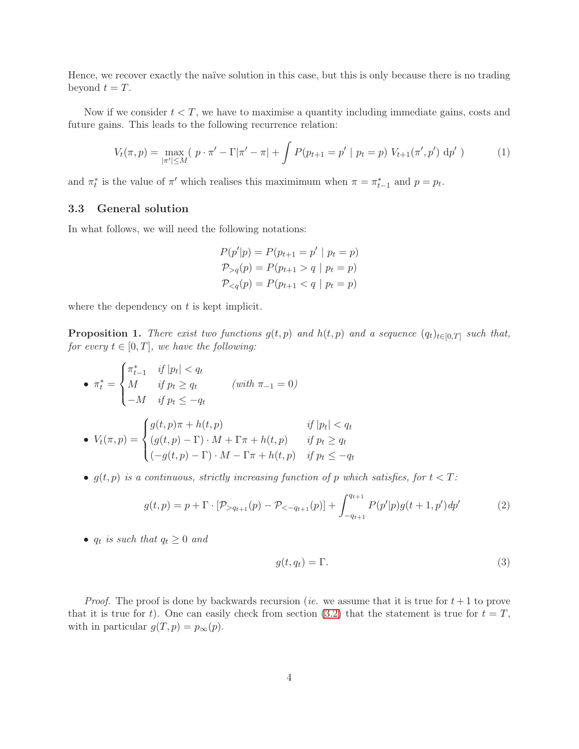Hence, we recover exactly the naïve solution in this case, but this is only because there is no trading beyond  $t = T$ .

Now if we consider  $t < T$ , we have to maximise a quantity including immediate gains, costs and future gains. This leads to the following recurrence relation:

$$
V_t(\pi, p) = \max_{|\pi'| \le M} (p \cdot \pi' - \Gamma|\pi' - \pi| + \int P(p_{t+1} = p' \mid p_t = p) V_{t+1}(\pi', p') dp') \tag{1}
$$

and  $\pi_t^*$  is the value of  $\pi'$  which realises this maximimum when  $\pi = \pi_{t-1}^*$  and  $p = p_t$ .

### 3.3 General solution

In what follows, we will need the following notations:

$$
P(p'|p) = P(p_{t+1} = p' | p_t = p)
$$
  
\n
$$
P_{>q}(p) = P(p_{t+1} > q | p_t = p)
$$
  
\n
$$
P_{
$$

where the dependency on  $t$  is kept implicit.

<span id="page-3-1"></span>**Proposition 1.** There exist two functions  $g(t, p)$  and  $h(t, p)$  and a sequence  $(q_t)_{t \in [0,T]}$  such that, for every  $t \in [0, T]$ , we have the following:

$$
\bullet \ \pi_t^* = \begin{cases} \pi_{t-1}^* & \text{if } |p_t| < q_t \\ M & \text{if } p_t \ge q_t \\ -M & \text{if } p_t \le -q_t \end{cases} \qquad (with \ \pi_{-1} = 0)
$$

$$
\bullet \ \ V_t(\pi, p) = \begin{cases} g(t, p)\pi + h(t, p) & \text{if } |p_t| < q_t \\ (g(t, p) - \Gamma) \cdot M + \Gamma \pi + h(t, p) & \text{if } p_t \ge q_t \\ (-g(t, p) - \Gamma) \cdot M - \Gamma \pi + h(t, p) & \text{if } p_t \le -q_t \end{cases}
$$

•  $g(t, p)$  is a continuous, strictly increasing function of p which satisfies, for  $t < T$ :

$$
g(t,p) = p + \Gamma \cdot [\mathcal{P}_{>q_{t+1}}(p) - \mathcal{P}_{<-q_{t+1}}(p)] + \int_{-q_{t+1}}^{q_{t+1}} P(p'|p)g(t+1,p')dp' \tag{2}
$$

•  $q_t$  is such that  $q_t \geq 0$  and

<span id="page-3-0"></span>
$$
g(t, q_t) = \Gamma. \tag{3}
$$

*Proof.* The proof is done by backwards recursion (*ie.* we assume that it is true for  $t + 1$  to prove that it is true for t). One can easily check from section [\(3.2\)](#page-2-1) that the statement is true for  $t = T$ , with in particular  $g(T, p) = p_{\infty}(p)$ .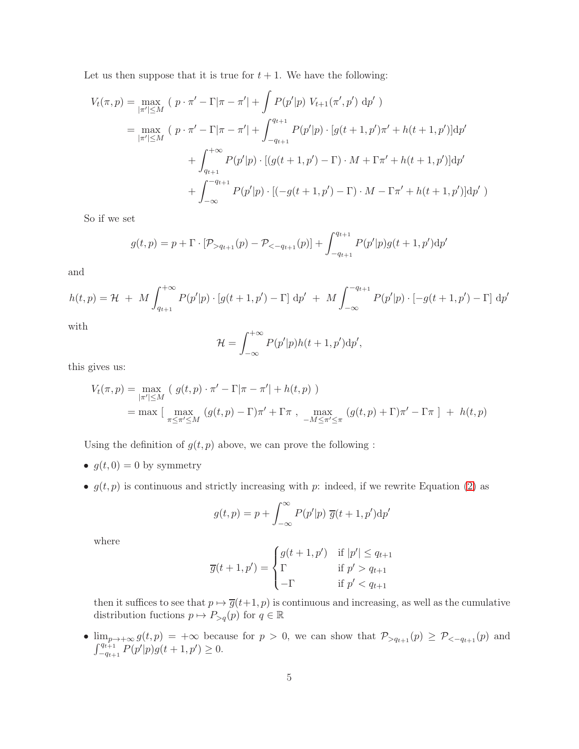Let us then suppose that it is true for  $t + 1$ . We have the following:

$$
V_t(\pi, p) = \max_{|\pi'| \le M} (p \cdot \pi' - \Gamma|\pi - \pi'| + \int P(p'|p) V_{t+1}(\pi', p') \, dp')
$$
  
= 
$$
\max_{|\pi'| \le M} (p \cdot \pi' - \Gamma|\pi - \pi'| + \int_{-q_{t+1}}^{q_{t+1}} P(p'|p) \cdot [g(t+1, p')\pi' + h(t+1, p')] \, dp'
$$
  
+ 
$$
\int_{q_{t+1}}^{+\infty} P(p'|p) \cdot [(g(t+1, p') - \Gamma) \cdot M + \Gamma \pi' + h(t+1, p')] \, dp'
$$
  
+ 
$$
\int_{-\infty}^{-q_{t+1}} P(p'|p) \cdot [(-g(t+1, p') - \Gamma) \cdot M - \Gamma \pi' + h(t+1, p')] \, dp' )
$$

So if we set

$$
g(t,p) = p + \Gamma \cdot [\mathcal{P}_{>q_{t+1}}(p) - \mathcal{P}_{<-q_{t+1}}(p)] + \int_{-q_{t+1}}^{q_{t+1}} P(p'|p)g(t+1,p')dp'
$$

and

$$
h(t,p) = \mathcal{H} + M \int_{q_{t+1}}^{+\infty} P(p'|p) \cdot [g(t+1,p') - \Gamma] dp' + M \int_{-\infty}^{-q_{t+1}} P(p'|p) \cdot [-g(t+1,p') - \Gamma] dp'
$$

with

$$
\mathcal{H} = \int_{-\infty}^{+\infty} P(p'|p)h(t+1,p')\mathrm{d}p',
$$

this gives us:

$$
V_t(\pi, p) = \max_{|\pi'| \le M} (g(t, p) \cdot \pi' - \Gamma|\pi - \pi'| + h(t, p))
$$
  
= max  $\left[\max_{\pi \le \pi' \le M} (g(t, p) - \Gamma)\pi' + \Gamma\pi\right], \max_{-M \le \pi' \le \pi} (g(t, p) + \Gamma)\pi' - \Gamma\pi \right] + h(t, p)$ 

Using the definition of  $g(t, p)$  above, we can prove the following :

- $g(t, 0) = 0$  by symmetry
- $g(t, p)$  is continuous and strictly increasing with p: indeed, if we rewrite Equation [\(2\)](#page-3-0) as

$$
g(t,p) = p + \int_{-\infty}^{\infty} P(p'|p) \ \overline{g}(t+1,p') dp'
$$

where

$$
\overline{g}(t+1,p') = \begin{cases} g(t+1,p') & \text{if } |p'| \le q_{t+1} \\ \Gamma & \text{if } p' > q_{t+1} \\ -\Gamma & \text{if } p' < q_{t+1} \end{cases}
$$

then it suffices to see that  $p \mapsto \overline{g}(t+1, p)$  is continuous and increasing, as well as the cumulative distribution fuctions  $p \mapsto P_{>q}(p)$  for  $q \in \mathbb{R}$ 

•  $\lim_{p\to+\infty} g(t,p) = +\infty$  because for  $p > 0$ , we can show that  $\mathcal{P}_{\geq q_{t+1}}(p) \geq \mathcal{P}_{\leq -q_{t+1}}(p)$  and  $\int_{-q_{t+1}}^{q_{t+1}} P(p'|p)g(t+1,p') \geq 0.$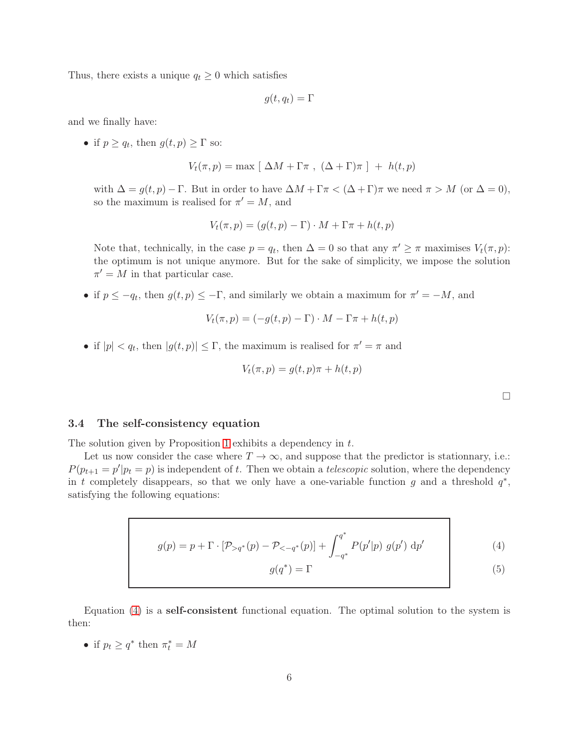Thus, there exists a unique  $q_t \geq 0$  which satisfies

$$
g(t,q_t)=\Gamma
$$

and we finally have:

• if  $p \ge q_t$ , then  $g(t, p) \ge \Gamma$  so:

$$
V_t(\pi, p) = \max [\Delta M + \Gamma \pi , (\Delta + \Gamma) \pi ] + h(t, p)
$$

with  $\Delta = g(t, p) - \Gamma$ . But in order to have  $\Delta M + \Gamma \pi < (\Delta + \Gamma) \pi$  we need  $\pi > M$  (or  $\Delta = 0$ ), so the maximum is realised for  $\pi' = M$ , and

$$
V_t(\pi, p) = (g(t, p) - \Gamma) \cdot M + \Gamma \pi + h(t, p)
$$

Note that, technically, in the case  $p = q_t$ , then  $\Delta = 0$  so that any  $\pi' \geq \pi$  maximises  $V_t(\pi, p)$ : the optimum is not unique anymore. But for the sake of simplicity, we impose the solution  $\pi' = M$  in that particular case.

• if  $p \le -q_t$ , then  $g(t, p) \le -\Gamma$ , and similarly we obtain a maximum for  $\pi' = -M$ , and

$$
V_t(\pi, p) = (-g(t, p) - \Gamma) \cdot M - \Gamma \pi + h(t, p)
$$

• if  $|p| < q_t$ , then  $|g(t,p)| \leq \Gamma$ , the maximum is realised for  $\pi' = \pi$  and

$$
V_t(\pi, p) = g(t, p)\pi + h(t, p)
$$

<span id="page-5-1"></span><span id="page-5-0"></span> $\Box$ 

### <span id="page-5-2"></span>3.4 The self-consistency equation

The solution given by Proposition [1](#page-3-1) exhibits a dependency in t.

Let us now consider the case where  $T \to \infty$ , and suppose that the predictor is stationnary, i.e.:  $P(p_{t+1} = p'|p_t = p)$  is independent of t. Then we obtain a telescopic solution, where the dependency in t completely disappears, so that we only have a one-variable function g and a threshold  $q^*$ , satisfying the following equations:

$$
g(p) = p + \Gamma \cdot [\mathcal{P}_{>q^*}(p) - \mathcal{P}_{<-q^*}(p)] + \int_{-q^*}^{q^*} P(p'|p) g(p') \, dp' \tag{4}
$$

$$
g(q^*) = \Gamma \tag{5}
$$

Equation [\(4\)](#page-5-0) is a self-consistent functional equation. The optimal solution to the system is then:

• if  $p_t \ge q^*$  then  $\pi_t^* = M$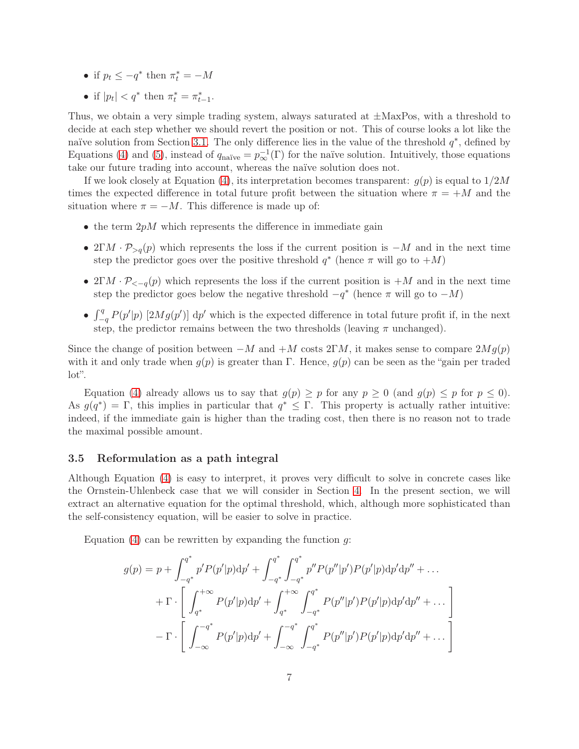- if  $p_t \le -q^*$  then  $\pi_t^* = -M$
- if  $|p_t| < q^*$  then  $\pi_t^* = \pi_{t-1}^*$ .

Thus, we obtain a very simple trading system, always saturated at  $\pm$ MaxPos, with a threshold to decide at each step whether we should revert the position or not. This of course looks a lot like the naïve solution from Section [3.1.](#page-2-2) The only difference lies in the value of the threshold  $q^*$ , defined by Equations [\(4\)](#page-5-0) and [\(5\)](#page-5-1), instead of  $q_{\text{naïve}} = p_{\infty}^{-1}(\Gamma)$  for the naïve solution. Intuitively, those equations take our future trading into account, whereas the naïve solution does not.

If we look closely at Equation [\(4\)](#page-5-0), its interpretation becomes transparent:  $g(p)$  is equal to  $1/2M$ times the expected difference in total future profit between the situation where  $\pi = +M$  and the situation where  $\pi = -M$ . This difference is made up of:

- the term  $2pM$  which represents the difference in immediate gain
- 2ΓM ·  $\mathcal{P}_{>q}(p)$  which represents the loss if the current position is  $-M$  and in the next time step the predictor goes over the positive threshold  $q^*$  (hence  $\pi$  will go to  $+M$ )
- $2\Gamma M \cdot \mathcal{P}_{\leq -q}(p)$  which represents the loss if the current position is  $+M$  and in the next time step the predictor goes below the negative threshold  $-q^*$  (hence  $\pi$  will go to  $-M$ )
- $\int_{-q}^{q} P(p'|p)$  [2Mg(p')] dp' which is the expected difference in total future profit if, in the next step, the predictor remains between the two thresholds (leaving  $\pi$  unchanged).

Since the change of position between  $-M$  and  $+M$  costs  $2\Gamma M$ , it makes sense to compare  $2Mq(p)$ with it and only trade when  $g(p)$  is greater than Γ. Hence,  $g(p)$  can be seen as the "gain per traded" lot".

Equation [\(4\)](#page-5-0) already allows us to say that  $g(p) \geq p$  for any  $p \geq 0$  (and  $g(p) \leq p$  for  $p \leq 0$ ). As  $g(q^*) = \Gamma$ , this implies in particular that  $q^* \leq \Gamma$ . This property is actually rather intuitive: indeed, if the immediate gain is higher than the trading cost, then there is no reason not to trade the maximal possible amount.

#### 3.5 Reformulation as a path integral

Although Equation [\(4\)](#page-5-0) is easy to interpret, it proves very difficult to solve in concrete cases like the Ornstein-Uhlenbeck case that we will consider in Section [4.](#page-10-0) In the present section, we will extract an alternative equation for the optimal threshold, which, although more sophisticated than the self-consistency equation, will be easier to solve in practice.

Equation  $(4)$  can be rewritten by expanding the function g:

$$
g(p) = p + \int_{-q^*}^{q^*} p' P(p'|p) dp' + \int_{-q^*}^{q^*} \int_{-q^*}^{q^*} p'' P(p''|p') P(p'|p) dp' dp'' + \dots + \Gamma \cdot \left[ \int_{q^*}^{+\infty} P(p'|p) dp' + \int_{q^*}^{+\infty} \int_{-q^*}^{q^*} P(p''|p') P(p'|p) dp' dp'' + \dots \right] - \Gamma \cdot \left[ \int_{-\infty}^{-q^*} P(p'|p) dp' + \int_{-\infty}^{-q^*} \int_{-q^*}^{q^*} P(p''|p') P(p'|p) dp' dp'' + \dots \right]
$$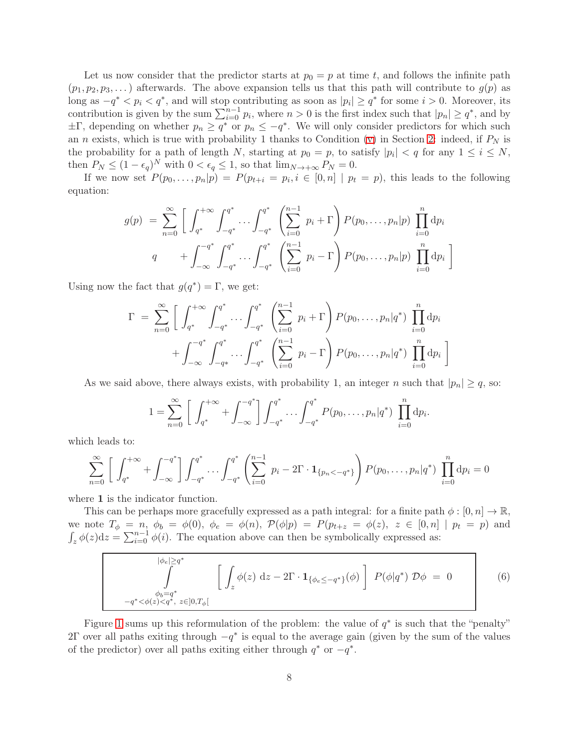Let us now consider that the predictor starts at  $p_0 = p$  at time t, and follows the infinite path  $(p_1, p_2, p_3, \dots)$  afterwards. The above expansion tells us that this path will contribute to  $g(p)$  as long as  $-q^* < p_i < q^*$ , and will stop contributing as soon as  $|p_i| \geq q^*$  for some  $i > 0$ . Moreover, its contribution is given by the sum  $\sum_{i=0}^{n-1} p_i$ , where  $n > 0$  is the first index such that  $|p_n| \geq q^*$ , and by  $\pm\Gamma$ , depending on whether  $p_n \ge q^*$  or  $p_n \le -q^*$ . We will only consider predictors for which such an n exists, which is true with probability 1 thanks to Condition [\(v\)](#page-1-1) in Section [2:](#page-1-2) indeed, if  $P_N$  is the probability for a path of length N, starting at  $p_0 = p$ , to satisfy  $|p_i| < q$  for any  $1 \le i \le N$ , then  $P_N \leq (1 - \epsilon_q)^N$  with  $0 < \epsilon_q \leq 1$ , so that  $\lim_{N \to +\infty} P_N = 0$ .

If we now set  $P(p_0, \ldots, p_n|p) = P(p_{t+i} = p_i, i \in [0, n] \mid p_t = p)$ , this leads to the following equation:

$$
g(p) = \sum_{n=0}^{\infty} \left[ \int_{q^*}^{+\infty} \int_{-q^*}^{q^*} \cdots \int_{-q^*}^{q^*} \left( \sum_{i=0}^{n-1} p_i + \Gamma \right) P(p_0, \dots, p_n | p) \prod_{i=0}^n dp_i
$$
  

$$
q + \int_{-\infty}^{-q^*} \int_{-q^*}^{q^*} \cdots \int_{-q^*}^{q^*} \left( \sum_{i=0}^{n-1} p_i - \Gamma \right) P(p_0, \dots, p_n | p) \prod_{i=0}^n dp_i \right]
$$

Using now the fact that  $g(q^*) = \Gamma$ , we get:

$$
\Gamma = \sum_{n=0}^{\infty} \left[ \int_{q^*}^{+\infty} \int_{-q^*}^{q^*} \cdots \int_{-q^*}^{q^*} \left( \sum_{i=0}^{n-1} p_i + \Gamma \right) P(p_0, \dots, p_n | q^*) \prod_{i=0}^n dp_i + \int_{-\infty}^{-q^*} \int_{-q^*}^{q^*} \cdots \int_{-q^*}^{q^*} \left( \sum_{i=0}^{n-1} p_i - \Gamma \right) P(p_0, \dots, p_n | q^*) \prod_{i=0}^n dp_i \right]
$$

As we said above, there always exists, with probability 1, an integer n such that  $|p_n| \geq q$ , so:

$$
1 = \sum_{n=0}^{\infty} \left[ \int_{q^*}^{+\infty} + \int_{-\infty}^{-q^*} \right] \int_{-q^*}^{q^*} \dots \int_{-q^*}^{q^*} P(p_0, \dots, p_n | q^*) \prod_{i=0}^n dp_i.
$$

which leads to:

$$
\sum_{n=0}^{\infty} \left[ \int_{q^*}^{+\infty} + \int_{-\infty}^{-q^*} \right] \int_{-q^*}^{q^*} \cdots \int_{-q^*}^{q^*} \left( \sum_{i=0}^{n-1} p_i - 2\Gamma \cdot \mathbf{1}_{\{p_n < -q^*\}} \right) P(p_0, \dots, p_n | q^*) \prod_{i=0}^n \mathrm{d}p_i = 0
$$

where 1 is the indicator function.

This can be perhaps more gracefully expressed as a path integral: for a finite path  $\phi : [0, n] \to \mathbb{R}$ , we note  $T_{\phi} = n$ ,  $\phi_b = \phi(0)$ ,  $\phi_e = \phi(n)$ ,  $\mathcal{P}(\phi|p) = P(p_{t+z} = \phi(z)$ ,  $z \in [0, n] | p_t = p)$  and  $\int_z \phi(z) dz = \sum_{i=0}^{n-1} \phi(i)$ . The equation above can then be symbolically expressed as:

<span id="page-7-0"></span>
$$
\int_{\phi_b = q^*}^{\phi_e| \ge q^*} \left[ \int_z \phi(z) dz - 2\Gamma \cdot \mathbf{1}_{\{\phi_e \le -q^*\}}(\phi) \right] P(\phi|q^*) \mathcal{D}\phi = 0
$$
\n
$$
-q^* < \phi(z) < q^*, z \in ]0, T_\phi[
$$
\n(6)

Figure [1](#page-8-0) sums up this reformulation of the problem: the value of  $q^*$  is such that the "penalty" 2Γ over all paths exiting through  $-q^*$  is equal to the average gain (given by the sum of the values of the predictor) over all paths exiting either through  $q^*$  or  $-q^*$ .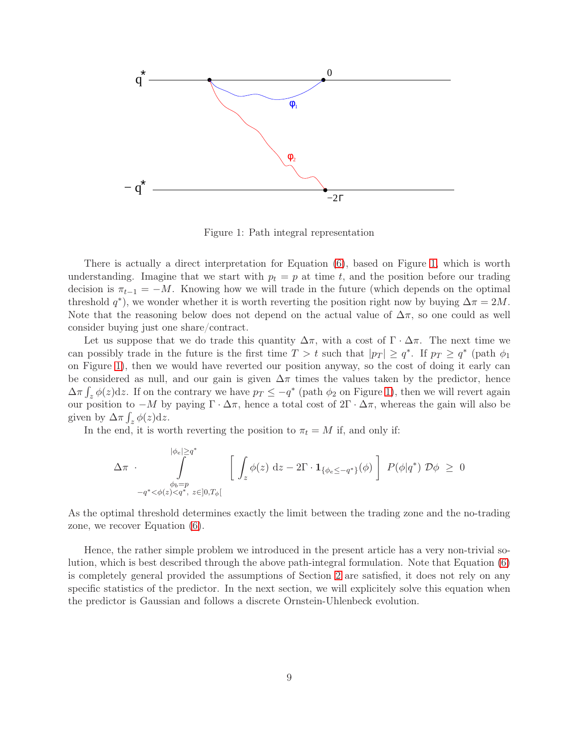

<span id="page-8-0"></span>Figure 1: Path integral representation

There is actually a direct interpretation for Equation [\(6\)](#page-7-0), based on Figure [1,](#page-8-0) which is worth understanding. Imagine that we start with  $p_t = p$  at time t, and the position before our trading decision is  $\pi_{t-1} = -M$ . Knowing how we will trade in the future (which depends on the optimal threshold  $q^*$ ), we wonder whether it is worth reverting the position right now by buying  $\Delta \pi = 2M$ . Note that the reasoning below does not depend on the actual value of  $\Delta \pi$ , so one could as well consider buying just one share/contract.

Let us suppose that we do trade this quantity  $\Delta \pi$ , with a cost of  $\Gamma \cdot \Delta \pi$ . The next time we can possibly trade in the future is the first time  $T > t$  such that  $|p_T| \geq q^*$ . If  $p_T \geq q^*$  (path  $\phi_1$ ) on Figure [1\)](#page-8-0), then we would have reverted our position anyway, so the cost of doing it early can be considered as null, and our gain is given  $\Delta \pi$  times the values taken by the predictor, hence  $\Delta \pi \int_z \phi(z) dz$ . If on the contrary we have  $p_T \le -q^*$  (path  $\phi_2$  on Figure [1\)](#page-8-0), then we will revert again our position to  $-M$  by paying  $\Gamma \cdot \Delta \pi$ , hence a total cost of  $2\Gamma \cdot \Delta \pi$ , whereas the gain will also be given by  $\Delta \pi \int_z \phi(z) dz$ .

In the end, it is worth reverting the position to  $\pi_t = M$  if, and only if:

$$
\Delta \pi \cdot \int\limits_{\substack{\phi_b = p \\ -q^* < \phi(z) < q^*, \\ z \in ]0, T_\phi[}}^{\phi_e| \geq q^*} \left[ \int_z \phi(z) \, dz - 2\Gamma \cdot \mathbf{1}_{\{\phi_e \leq -q^*\}}(\phi) \right] P(\phi|q^*) \mathcal{D}\phi \geq 0
$$

As the optimal threshold determines exactly the limit between the trading zone and the no-trading zone, we recover Equation [\(6\)](#page-7-0).

Hence, the rather simple problem we introduced in the present article has a very non-trivial solution, which is best described through the above path-integral formulation. Note that Equation [\(6\)](#page-7-0) is completely general provided the assumptions of Section [2](#page-1-2) are satisfied, it does not rely on any specific statistics of the predictor. In the next section, we will explicitely solve this equation when the predictor is Gaussian and follows a discrete Ornstein-Uhlenbeck evolution.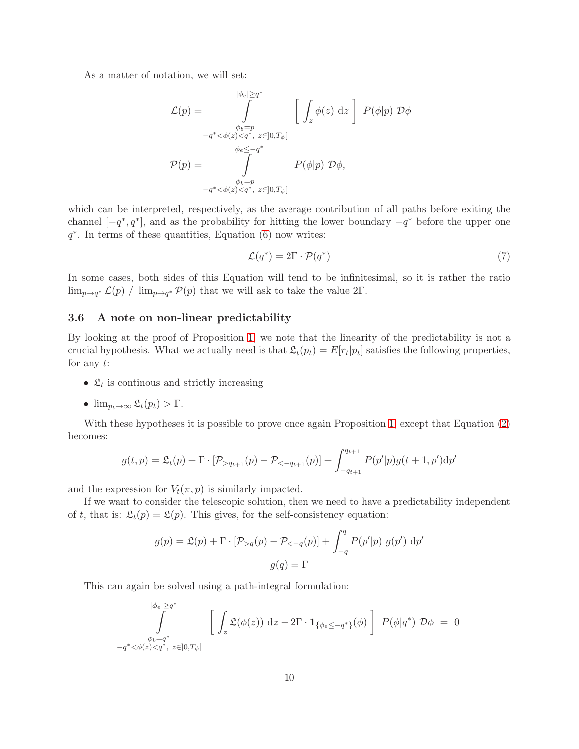As a matter of notation, we will set:

$$
\mathcal{L}(p) = \int_{\phi_b = p}^{|\phi_e| \ge q^*} \left[ \int_z \phi(z) dz \right] P(\phi|p) \mathcal{D}\phi
$$
  

$$
-q^* < \phi(z) < q^*, z \in ]0, T_\phi[
$$
  

$$
\phi_e \le -q^*
$$
  

$$
P(p) = \int_{-q^* < \phi(z) < q^*, z \in ]0, T_\phi[}
$$
  

$$
P(\phi|p) \mathcal{D}\phi,
$$

which can be interpreted, respectively, as the average contribution of all paths before exiting the channel  $[-q^*, q^*]$ , and as the probability for hitting the lower boundary  $-q^*$  before the upper one  $q^*$ . In terms of these quantities, Equation  $(6)$  now writes:

<span id="page-9-1"></span>
$$
\mathcal{L}(q^*) = 2\Gamma \cdot \mathcal{P}(q^*)
$$
\n<sup>(7)</sup>

In some cases, both sides of this Equation will tend to be infinitesimal, so it is rather the ratio  $\lim_{p\to q^*}\mathcal{L}(p)$  /  $\lim_{p\to q^*}\mathcal{P}(p)$  that we will ask to take the value 2 $\Gamma$ .

### <span id="page-9-0"></span>3.6 A note on non-linear predictability

By looking at the proof of Proposition [1,](#page-3-1) we note that the linearity of the predictability is not a crucial hypothesis. What we actually need is that  $\mathfrak{L}_t(p_t) = E[r_t|p_t]$  satisfies the following properties, for any  $t$ :

- $\mathfrak{L}_t$  is continous and strictly increasing
- $\lim_{p_t \to \infty} \mathfrak{L}_t(p_t) > \Gamma$ .

With these hypotheses it is possible to prove once again Proposition [1,](#page-3-1) except that Equation  $(2)$ becomes:

$$
g(t,p) = \mathfrak{L}_t(p) + \Gamma \cdot [\mathcal{P}_{>q_{t+1}}(p) - \mathcal{P}_{<-q_{t+1}}(p)] + \int_{-q_{t+1}}^{q_{t+1}} P(p'|p)g(t+1,p')dp'
$$

and the expression for  $V_t(\pi, p)$  is similarly impacted.

If we want to consider the telescopic solution, then we need to have a predictability independent of t, that is:  $\mathfrak{L}_t(p) = \mathfrak{L}(p)$ . This gives, for the self-consistency equation:

$$
g(p) = \mathfrak{L}(p) + \Gamma \cdot [\mathcal{P}_{>q}(p) - \mathcal{P}_{<-q}(p)] + \int_{-q}^{q} P(p'|p) g(p') dp'
$$

$$
g(q) = \Gamma
$$

This can again be solved using a path-integral formulation:

$$
\int_{\phi_e|\geq q^*}^{\phi_e|\geq q^*} \left[ \int_z \mathfrak{L}(\phi(z)) \, dz - 2\Gamma \cdot \mathbf{1}_{\{\phi_e \leq -q^*\}}(\phi) \right] P(\phi|q^*) \mathcal{D}\phi = 0
$$
  

$$
-q^* < \phi(z) < q^*, z \in ]0, T_\phi[
$$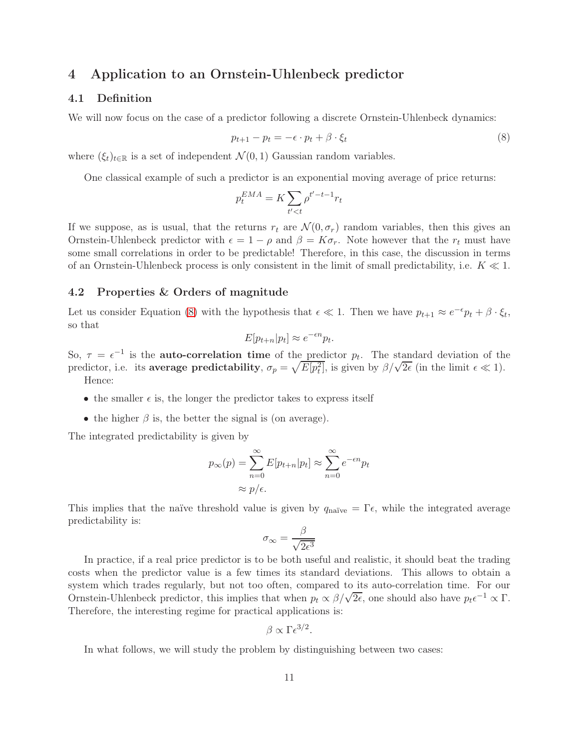## <span id="page-10-0"></span>4 Application to an Ornstein-Uhlenbeck predictor

### 4.1 Definition

We will now focus on the case of a predictor following a discrete Ornstein-Uhlenbeck dynamics:

<span id="page-10-1"></span>
$$
p_{t+1} - p_t = -\epsilon \cdot p_t + \beta \cdot \xi_t \tag{8}
$$

where  $(\xi_t)_{t\in\mathbb{R}}$  is a set of independent  $\mathcal{N}(0,1)$  Gaussian random variables.

One classical example of such a predictor is an exponential moving average of price returns:

$$
p_t^{EMA} = K \sum_{t' < t} \rho^{t' - t - 1} r_t
$$

If we suppose, as is usual, that the returns  $r_t$  are  $\mathcal{N}(0, \sigma_r)$  random variables, then this gives an Ornstein-Uhlenbeck predictor with  $\epsilon = 1 - \rho$  and  $\beta = K\sigma_r$ . Note however that the  $r_t$  must have some small correlations in order to be predictable! Therefore, in this case, the discussion in terms of an Ornstein-Uhlenbeck process is only consistent in the limit of small predictability, i.e.  $K \ll 1$ .

#### 4.2 Properties & Orders of magnitude

Let us consider Equation [\(8\)](#page-10-1) with the hypothesis that  $\epsilon \ll 1$ . Then we have  $p_{t+1} \approx e^{-\epsilon} p_t + \beta \cdot \xi_t$ , so that

$$
E[p_{t+n}|p_t] \approx e^{-\epsilon n} p_t.
$$

So,  $\tau = \epsilon^{-1}$  is the **auto-correlation time** of the predictor  $p_t$ . The standard deviation of the predictor, i.e. its average predictability,  $\sigma_p = \sqrt{E[p_t^2]}$ , is given by  $\beta/\sqrt{2\epsilon}$  (in the limit  $\epsilon \ll 1$ ). Hence:

- the smaller  $\epsilon$  is, the longer the predictor takes to express itself
- the higher  $\beta$  is, the better the signal is (on average).

The integrated predictability is given by

$$
p_{\infty}(p) = \sum_{n=0}^{\infty} E[p_{t+n}|p_t] \approx \sum_{n=0}^{\infty} e^{-\epsilon n} p_t
$$

$$
\approx p/\epsilon.
$$

This implies that the naïve threshold value is given by  $q_{\text{naïve}} = \Gamma \epsilon$ , while the integrated average predictability is:

$$
\sigma_{\infty} = \frac{\beta}{\sqrt{2\epsilon^3}}
$$

In practice, if a real price predictor is to be both useful and realistic, it should beat the trading costs when the predictor value is a few times its standard deviations. This allows to obtain a system which trades regularly, but not too often, compared to its auto-correlation time. For our Ornstein-Uhlenbeck predictor, this implies that when  $p_t \propto \beta/\sqrt{2\epsilon}$ , one should also have  $p_t\epsilon^{-1} \propto \Gamma$ . Therefore, the interesting regime for practical applications is:

$$
\beta \propto \Gamma \epsilon^{3/2}.
$$

In what follows, we will study the problem by distinguishing between two cases: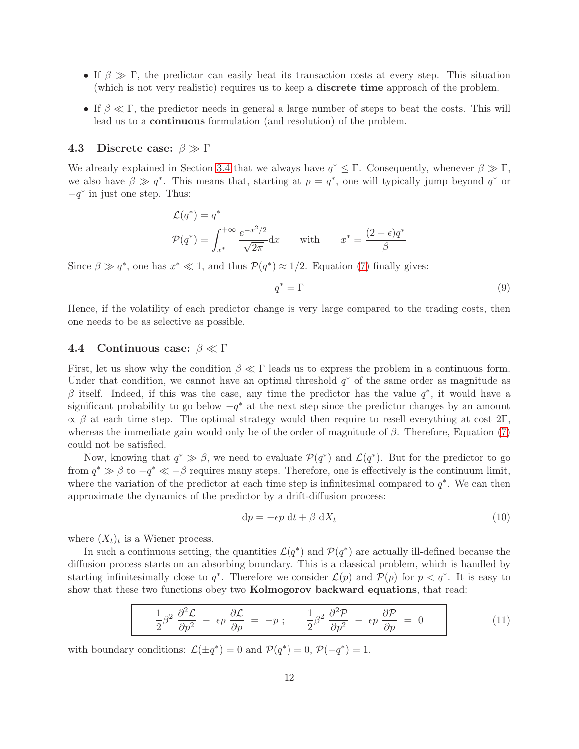- If  $\beta \gg \Gamma$ , the predictor can easily beat its transaction costs at every step. This situation (which is not very realistic) requires us to keep a discrete time approach of the problem.
- If  $\beta \ll \Gamma$ , the predictor needs in general a large number of steps to beat the costs. This will lead us to a continuous formulation (and resolution) of the problem.

#### 4.3 Discrete case:  $\beta \gg \Gamma$

We already explained in Section [3.4](#page-5-2) that we always have  $q^* \leq \Gamma$ . Consequently, whenever  $\beta \gg \Gamma$ , we also have  $\beta \gg q^*$ . This means that, starting at  $p = q^*$ , one will typically jump beyond  $q^*$  or  $-q^*$  in just one step. Thus:

$$
\mathcal{L}(q^*) = q^*
$$
  

$$
\mathcal{P}(q^*) = \int_{x^*}^{+\infty} \frac{e^{-x^2/2}}{\sqrt{2\pi}} dx \quad \text{with} \quad x^* = \frac{(2-\epsilon)q^*}{\beta}
$$

Since  $\beta \gg q^*$ , one has  $x^* \ll 1$ , and thus  $\mathcal{P}(q^*) \approx 1/2$ . Equation [\(7\)](#page-9-1) finally gives:

$$
q^* = \Gamma \tag{9}
$$

Hence, if the volatility of each predictor change is very large compared to the trading costs, then one needs to be as selective as possible.

### <span id="page-11-1"></span>4.4 Continuous case:  $\beta \ll \Gamma$

First, let us show why the condition  $\beta \ll \Gamma$  leads us to express the problem in a continuous form. Under that condition, we cannot have an optimal threshold  $q^*$  of the same order as magnitude as β itself. Indeed, if this was the case, any time the predictor has the value  $q^*$ , it would have a significant probability to go below  $-q^*$  at the next step since the predictor changes by an amount  $\propto$  β at each time step. The optimal strategy would then require to resell everything at cost 2Γ, whereas the immediate gain would only be of the order of magnitude of  $\beta$ . Therefore, Equation [\(7\)](#page-9-1) could not be satisfied.

Now, knowing that  $q^* \gg \beta$ , we need to evaluate  $\mathcal{P}(q^*)$  and  $\mathcal{L}(q^*)$ . But for the predictor to go from  $q^* \gg \beta$  to  $-q^* \ll -\beta$  requires many steps. Therefore, one is effectively is the continuum limit, where the variation of the predictor at each time step is infinitesimal compared to  $q^*$ . We can then approximate the dynamics of the predictor by a drift-diffusion process:

$$
dp = -\epsilon p \, dt + \beta \, dX_t \tag{10}
$$

where  $(X_t)_t$  is a Wiener process.

In such a continuous setting, the quantities  $\mathcal{L}(q^*)$  and  $\mathcal{P}(q^*)$  are actually ill-defined because the diffusion process starts on an absorbing boundary. This is a classical problem, which is handled by starting infinitesimally close to  $q^*$ . Therefore we consider  $\mathcal{L}(p)$  and  $\mathcal{P}(p)$  for  $p < q^*$ . It is easy to show that these two functions obey two Kolmogorov backward equations, that read:

<span id="page-11-0"></span>
$$
\frac{1}{2}\beta^2 \frac{\partial^2 \mathcal{L}}{\partial p^2} - \epsilon p \frac{\partial \mathcal{L}}{\partial p} = -p \; ; \qquad \frac{1}{2}\beta^2 \frac{\partial^2 \mathcal{P}}{\partial p^2} - \epsilon p \frac{\partial \mathcal{P}}{\partial p} = 0 \tag{11}
$$

with boundary conditions:  $\mathcal{L}(\pm q^*) = 0$  and  $\mathcal{P}(q^*) = 0$ ,  $\mathcal{P}(-q^*) = 1$ .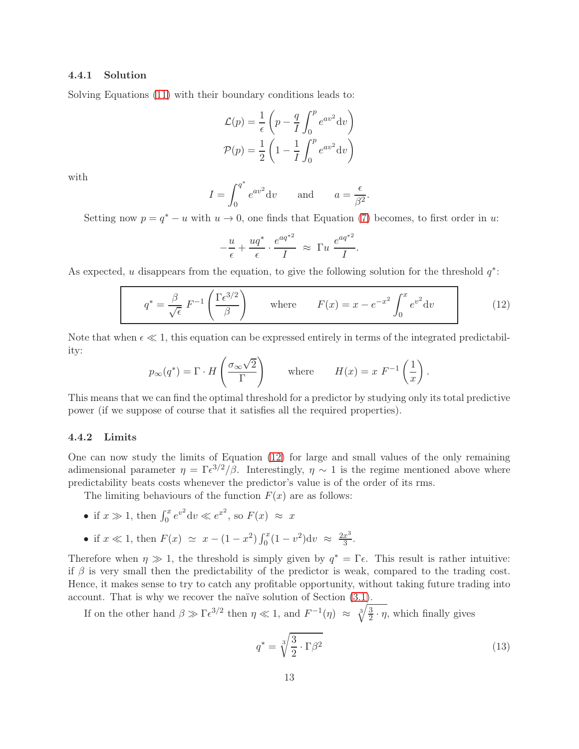#### 4.4.1 Solution

Solving Equations [\(11\)](#page-11-0) with their boundary conditions leads to:

$$
\mathcal{L}(p) = \frac{1}{\epsilon} \left( p - \frac{q}{I} \int_0^p e^{av^2} dv \right)
$$

$$
\mathcal{P}(p) = \frac{1}{2} \left( 1 - \frac{1}{I} \int_0^p e^{av^2} dv \right)
$$

with

$$
I = \int_0^{q^*} e^{av^2} dv \quad \text{and} \quad a = \frac{\epsilon}{\beta^2}.
$$

Setting now  $p = q^* - u$  with  $u \to 0$ , one finds that Equation [\(7\)](#page-9-1) becomes, to first order in u:

$$
-\frac{u}{\epsilon} + \frac{uq^*}{\epsilon} \cdot \frac{e^{aq^{*2}}}{I} \approx \Gamma u \frac{e^{aq^{*2}}}{I}.
$$

As expected, u disappears from the equation, to give the following solution for the threshold  $q^*$ :

<span id="page-12-0"></span>
$$
q^* = \frac{\beta}{\sqrt{\epsilon}} F^{-1} \left( \frac{\Gamma \epsilon^{3/2}}{\beta} \right) \quad \text{where} \quad F(x) = x - e^{-x^2} \int_0^x e^{v^2} dv \tag{12}
$$

Note that when  $\epsilon \ll 1$ , this equation can be expressed entirely in terms of the integrated predictability:

$$
p_{\infty}(q^*) = \Gamma \cdot H\left(\frac{\sigma_{\infty} \sqrt{2}}{\Gamma}\right)
$$
 where  $H(x) = x F^{-1}\left(\frac{1}{x}\right)$ .

This means that we can find the optimal threshold for a predictor by studying only its total predictive power (if we suppose of course that it satisfies all the required properties).

#### 4.4.2 Limits

One can now study the limits of Equation [\(12\)](#page-12-0) for large and small values of the only remaining adimensional parameter  $\eta = \Gamma \epsilon^{3/2} / \beta$ . Interestingly,  $\eta \sim 1$  is the regime mentioned above where predictability beats costs whenever the predictor's value is of the order of its rms.

The limiting behaviours of the function  $F(x)$  are as follows:

- if  $x \gg 1$ , then  $\int_0^x e^{v^2} dv \ll e^{x^2}$ , so  $F(x) \approx x$
- if  $x \ll 1$ , then  $F(x) \simeq x (1 x^2) \int_0^x (1 v^2) dv \approx \frac{2x^3}{3}$  $rac{x^3}{3}$ .

Therefore when  $\eta \gg 1$ , the threshold is simply given by  $q^* = \Gamma \epsilon$ . This result is rather intuitive: if  $\beta$  is very small then the predictability of the predictor is weak, compared to the trading cost. Hence, it makes sense to try to catch any profitable opportunity, without taking future trading into account. That is why we recover the naïve solution of Section [\(3.1\)](#page-2-2).

If on the other hand  $\beta \gg \Gamma \epsilon^{3/2}$  then  $\eta \ll 1$ , and  $F^{-1}(\eta) \approx \sqrt[3]{\frac{3}{2}}$  $\frac{3}{2} \cdot \eta$ , which finally gives

$$
q^* = \sqrt[3]{\frac{3}{2} \cdot \Gamma \beta^2} \tag{13}
$$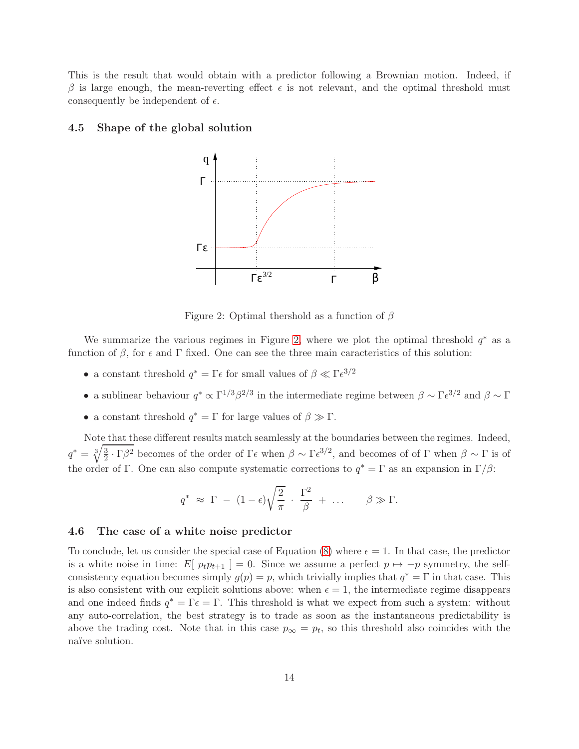This is the result that would obtain with a predictor following a Brownian motion. Indeed, if β is large enough, the mean-reverting effect  $\epsilon$  is not relevant, and the optimal threshold must consequently be independent of  $\epsilon$ .

#### 4.5 Shape of the global solution



<span id="page-13-0"></span>Figure 2: Optimal thershold as a function of  $\beta$ 

We summarize the various regimes in Figure [2,](#page-13-0) where we plot the optimal threshold  $q^*$  as a function of  $\beta$ , for  $\epsilon$  and  $\Gamma$  fixed. One can see the three main caracteristics of this solution:

- a constant threshold  $q^* = \Gamma \epsilon$  for small values of  $\beta \ll \Gamma \epsilon^{3/2}$
- a sublinear behaviour  $q^* \propto \Gamma^{1/3} \beta^{2/3}$  in the intermediate regime between  $\beta \sim \Gamma \epsilon^{3/2}$  and  $\beta \sim \Gamma$
- a constant threshold  $q^* = \Gamma$  for large values of  $\beta \gg \Gamma$ .

Note that these different results match seamlessly at the boundaries between the regimes. Indeed,  $q^* = \sqrt[3]{\frac{3}{2}}$  $\frac{3}{2} \cdot \Gamma$ β<sup>2</sup> becomes of the order of Γε when  $\beta \sim \Gamma \epsilon^{3/2}$ , and becomes of of Γ when  $\beta \sim \Gamma$  is of the order of Γ. One can also compute systematic corrections to  $q^* = \Gamma$  as an expansion in  $\Gamma/\beta$ :

$$
q^* \approx \Gamma - (1 - \epsilon) \sqrt{\frac{2}{\pi}} \cdot \frac{\Gamma^2}{\beta} + \dots
$$
  $\beta \gg \Gamma.$ 

#### 4.6 The case of a white noise predictor

To conclude, let us consider the special case of Equation [\(8\)](#page-10-1) where  $\epsilon = 1$ . In that case, the predictor is a white noise in time:  $E[p_t p_{t+1}] = 0$ . Since we assume a perfect  $p \mapsto -p$  symmetry, the selfconsistency equation becomes simply  $g(p) = p$ , which trivially implies that  $q^* = \Gamma$  in that case. This is also consistent with our explicit solutions above: when  $\epsilon = 1$ , the intermediate regime disappears and one indeed finds  $q^* = \Gamma \epsilon = \Gamma$ . This threshold is what we expect from such a system: without any auto-correlation, the best strategy is to trade as soon as the instantaneous predictability is above the trading cost. Note that in this case  $p_{\infty} = p_t$ , so this threshold also coincides with the naïve solution.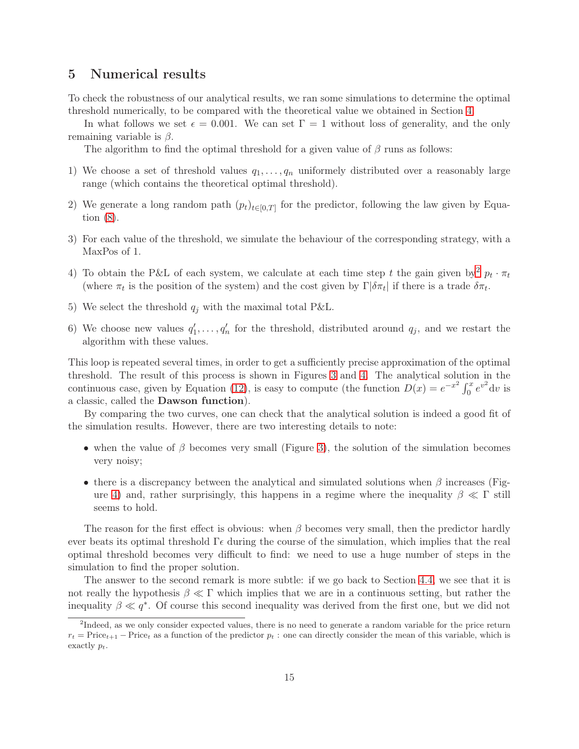### 5 Numerical results

To check the robustness of our analytical results, we ran some simulations to determine the optimal threshold numerically, to be compared with the theoretical value we obtained in Section [4.](#page-10-0)

In what follows we set  $\epsilon = 0.001$ . We can set  $\Gamma = 1$  without loss of generality, and the only remaining variable is  $\beta$ .

The algorithm to find the optimal threshold for a given value of  $\beta$  runs as follows:

- 1) We choose a set of threshold values  $q_1, \ldots, q_n$  uniformely distributed over a reasonably large range (which contains the theoretical optimal threshold).
- 2) We generate a long random path  $(p_t)_{t\in[0,T]}$  for the predictor, following the law given by Equation [\(8\)](#page-10-1).
- 3) For each value of the threshold, we simulate the behaviour of the corresponding strategy, with a MaxPos of 1.
- 4) To obtain the P&L of each system, we calculate at each time step t the gain given by  $p_t \cdot \pi_t$ (where  $\pi_t$  is the position of the system) and the cost given by  $\Gamma|\delta \pi_t|$  if there is a trade  $\delta \pi_t$ .
- 5) We select the threshold  $q_i$  with the maximal total P&L.
- 6) We choose new values  $q'_1, \ldots, q'_n$  for the threshold, distributed around  $q_j$ , and we restart the algorithm with these values.

This loop is repeated several times, in order to get a sufficiently precise approximation of the optimal threshold. The result of this process is shown in Figures [3](#page-15-0) and [4.](#page-15-1) The analytical solution in the continuous case, given by Equation [\(12\)](#page-12-0), is easy to compute (the function  $D(x) = e^{-x^2} \int_0^x e^{v^2} dv$  is a classic, called the Dawson function).

By comparing the two curves, one can check that the analytical solution is indeed a good fit of the simulation results. However, there are two interesting details to note:

- when the value of  $\beta$  becomes very small (Figure [3\)](#page-15-0), the solution of the simulation becomes very noisy;
- there is a discrepancy between the analytical and simulated solutions when  $\beta$  increases (Fig-ure [4\)](#page-15-1) and, rather surprisingly, this happens in a regime where the inequality  $\beta \ll \Gamma$  still seems to hold.

The reason for the first effect is obvious: when  $\beta$  becomes very small, then the predictor hardly ever beats its optimal threshold  $\Gamma \epsilon$  during the course of the simulation, which implies that the real optimal threshold becomes very difficult to find: we need to use a huge number of steps in the simulation to find the proper solution.

The answer to the second remark is more subtle: if we go back to Section [4.4,](#page-11-1) we see that it is not really the hypothesis  $\beta \ll \Gamma$  which implies that we are in a continuous setting, but rather the inequality  $\beta \ll q^*$ . Of course this second inequality was derived from the first one, but we did not

<span id="page-14-0"></span><sup>&</sup>lt;sup>2</sup>Indeed, as we only consider expected values, there is no need to generate a random variable for the price return  $r_t$  = Price<sub>t+1</sub> – Price<sub>t</sub> as a function of the predictor  $p_t$ : one can directly consider the mean of this variable, which is exactly  $p_t$ .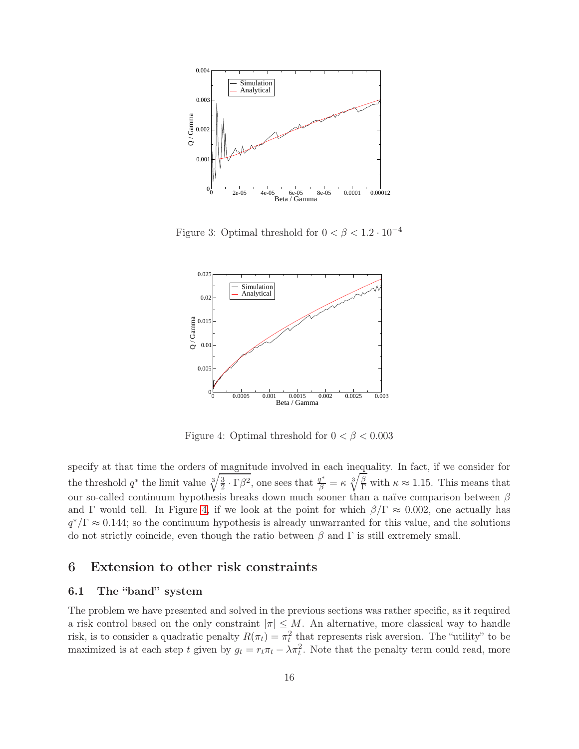

<span id="page-15-0"></span>Figure 3: Optimal threshold for  $0 < \beta < 1.2 \cdot 10^{-4}$ 



<span id="page-15-1"></span>Figure 4: Optimal threshold for  $0 < \beta < 0.003$ 

specify at that time the orders of magnitude involved in each inequality. In fact, if we consider for the threshold  $q^*$  the limit value  $\sqrt[3]{\frac{3}{2}}$  $\frac{3}{2} \cdot \Gamma \beta^2$ , one sees that  $\frac{q^*}{\beta} = \kappa \sqrt[3]{\frac{\beta}{\Gamma}}$  with  $\kappa \approx 1.15$ . This means that our so-called continuum hypothesis breaks down much sooner than a naïve comparison between  $\beta$ and Γ would tell. In Figure [4,](#page-15-1) if we look at the point for which  $\beta/\Gamma \approx 0.002$ , one actually has  $q^*/\Gamma \approx 0.144$ ; so the continuum hypothesis is already unwarranted for this value, and the solutions do not strictly coincide, even though the ratio between  $\beta$  and  $\Gamma$  is still extremely small.

## 6 Extension to other risk constraints

### 6.1 The "band" system

The problem we have presented and solved in the previous sections was rather specific, as it required a risk control based on the only constraint  $|\pi| \leq M$ . An alternative, more classical way to handle risk, is to consider a quadratic penalty  $R(\pi_t) = \pi_t^2$  that represents risk aversion. The "utility" to be maximized is at each step t given by  $g_t = r_t \pi_t - \lambda \pi_t^2$ . Note that the penalty term could read, more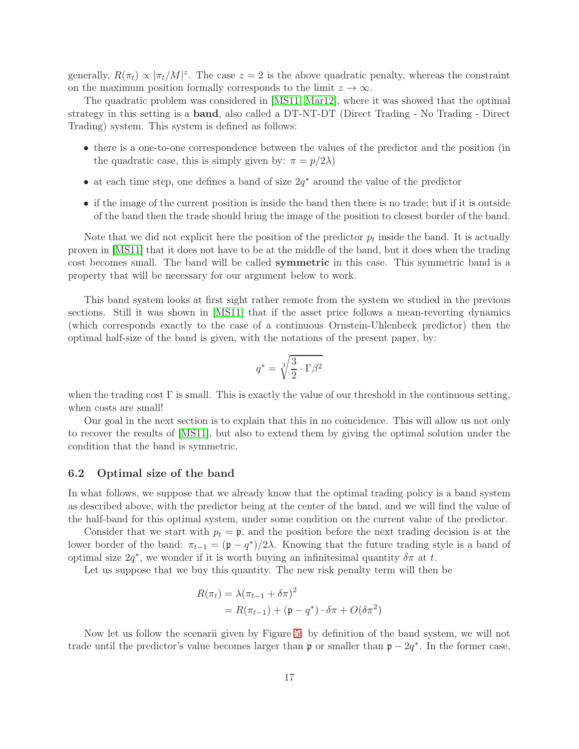generally,  $R(\pi_t) \propto |\pi_t/M|^z$ . The case  $z = 2$  is the above quadratic penalty, whereas the constraint on the maximum position formally corresponds to the limit  $z \to \infty$ .

The quadratic problem was considered in [\[MS11,](#page-19-8) [Mar12\]](#page-19-9), where it was showed that the optimal strategy in this setting is a band, also called a DT-NT-DT (Direct Trading - No Trading - Direct Trading) system. This system is defined as follows:

- there is a one-to-one correspondence between the values of the predictor and the position (in the quadratic case, this is simply given by:  $\pi = p/2\lambda$ )
- at each time step, one defines a band of size  $2q^*$  around the value of the predictor
- if the image of the current position is inside the band then there is no trade; but if it is outside of the band then the trade should bring the image of the position to closest border of the band.

Note that we did not explicit here the position of the predictor  $p_t$  inside the band. It is actually proven in [\[MS11\]](#page-19-8) that it does not have to be at the middle of the band, but it does when the trading cost becomes small. The band will be called symmetric in this case. This symmetric band is a property that will be necessary for our argument below to work.

This band system looks at first sight rather remote from the system we studied in the previous sections. Still it was shown in [\[MS11\]](#page-19-8) that if the asset price follows a mean-reverting dynamics (which corresponds exactly to the case of a continuous Ornstein-Uhlenbeck predictor) then the optimal half-size of the band is given, with the notations of the present paper, by:

$$
q^* = \sqrt[3]{\frac{3}{2} \cdot \Gamma \beta^2}
$$

when the trading cost  $\Gamma$  is small. This is exactly the value of our threshold in the continuous setting, when costs are small!

Our goal in the next section is to explain that this in no coincidence. This will allow us not only to recover the results of [\[MS11\]](#page-19-8), but also to extend them by giving the optimal solution under the condition that the band is symmetric.

#### 6.2 Optimal size of the band

In what follows, we suppose that we already know that the optimal trading policy is a band system as described above, with the predictor being at the center of the band, and we will find the value of the half-band for this optimal system, under some condition on the current value of the predictor.

Consider that we start with  $p_t = \mathfrak{p}$ , and the position before the next trading decision is at the lower border of the band:  $\pi_{t-1} = (\mathfrak{p} - q^*)/2\lambda$ . Knowing that the future trading style is a band of optimal size  $2q^*$ , we wonder if it is worth buying an infinitesimal quantity  $\delta \pi$  at t.

Let us suppose that we buy this quantity. The new risk penalty term will then be

$$
R(\pi_t) = \lambda (\pi_{t-1} + \delta \pi)^2
$$
  
=  $R(\pi_{t-1}) + (\mathfrak{p} - q^*) \cdot \delta \pi + O(\delta \pi^2)$ 

Now let us follow the scenarii given by Figure [5:](#page-17-0) by definition of the band system, we will not trade until the predictor's value becomes larger than  $\mathfrak{p}$  or smaller than  $\mathfrak{p} - 2q^*$ . In the former case,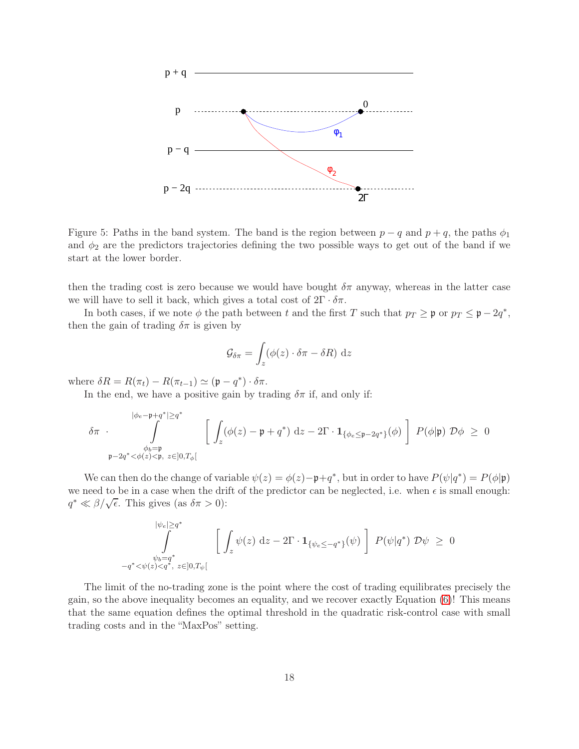

<span id="page-17-0"></span>Figure 5: Paths in the band system. The band is the region between  $p - q$  and  $p + q$ , the paths  $\phi_1$ and  $\phi_2$  are the predictors trajectories defining the two possible ways to get out of the band if we start at the lower border.

then the trading cost is zero because we would have bought  $\delta \pi$  anyway, whereas in the latter case we will have to sell it back, which gives a total cost of  $2\Gamma \cdot \delta \pi$ .

In both cases, if we note  $\phi$  the path between t and the first T such that  $p_T \ge \mathfrak{p}$  or  $p_T \le \mathfrak{p} - 2q^*$ , then the gain of trading  $\delta \pi$  is given by

$$
\mathcal{G}_{\delta\pi} = \int_{z} (\phi(z) \cdot \delta\pi - \delta R) \, \mathrm{d}z
$$

where  $\delta R = R(\pi_t) - R(\pi_{t-1}) \simeq (\mathfrak{p} - q^*) \cdot \delta \pi$ .

In the end, we have a positive gain by trading  $\delta \pi$  if, and only if:

$$
\delta \pi \cdot \int\limits_{\substack{\phi_b = \mathfrak{p} \\ \mathfrak{p} - 2q^* < \phi(z) < \mathfrak{p}, \ z \in ]0,T_\phi[}}^{\phi_e = \mathfrak{p} + q^* \geq q^*} \left[ \left. \int_z (\phi(z) - \mathfrak{p} + q^*) \, dz - 2 \Gamma \cdot \mathbf{1}_{\{\phi_e \leq \mathfrak{p} - 2q^*\}}(\phi) \, \right] \, P(\phi | \mathfrak{p}) \, \mathcal{D}\phi \; \geq \; 0 \right]
$$

We can then do the change of variable  $\psi(z) = \phi(z) - \mathfrak{p} + q^*$ , but in order to have  $P(\psi|q^*) = P(\phi|\mathfrak{p})$ we need to be in a case when the drift of the predictor can be neglected, i.e. when  $\epsilon$  is small enough:  $q^* \ll \beta/\sqrt{\epsilon}$ . This gives (as  $\delta \pi > 0$ ):

$$
\int\limits_{\psi_b=q^*}^{\psi_e|\geq q^*}\left[\ \int\limits_z \psi(z)\ \mathrm{d} z-2\Gamma\cdot\mathbf{1}_{\{\psi_e\leq -q^*\}}(\psi)\ \right]\ P(\psi|q^*)\ \mathcal{D}\psi\ \geq\ 0
$$
  

$$
-q^*\langle\psi(z)\langle q^*,\ z\in]0,T_\psi[
$$

The limit of the no-trading zone is the point where the cost of trading equilibrates precisely the gain, so the above inequality becomes an equality, and we recover exactly Equation [\(6\)](#page-7-0)! This means that the same equation defines the optimal threshold in the quadratic risk-control case with small trading costs and in the "MaxPos" setting.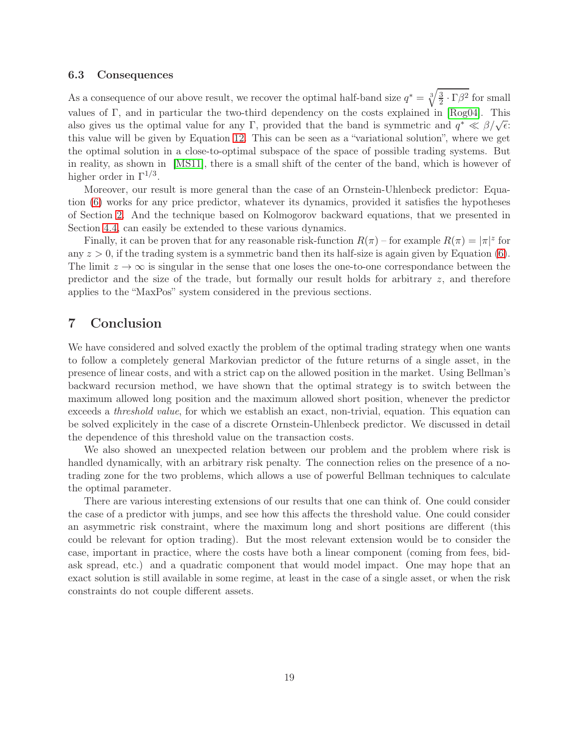#### 6.3 Consequences

As a consequence of our above result, we recover the optimal half-band size  $q^* = \sqrt[3]{\frac{3}{2}}$  $\frac{3}{2} \cdot \Gamma \beta^2$  for small values of Γ, and in particular the two-third dependency on the costs explained in [\[Rog04\]](#page-19-10). This also gives us the optimal value for any Γ, provided that the band is symmetric and  $q^* \ll \beta/\sqrt{\epsilon}$ . this value will be given by Equation [12.](#page-12-0) This can be seen as a "variational solution", where we get the optimal solution in a close-to-optimal subspace of the space of possible trading systems. But in reality, as shown in [\[MS11\]](#page-19-8), there is a small shift of the center of the band, which is however of higher order in  $\Gamma^{1/3}$ .

Moreover, our result is more general than the case of an Ornstein-Uhlenbeck predictor: Equation [\(6\)](#page-7-0) works for any price predictor, whatever its dynamics, provided it satisfies the hypotheses of Section [2.](#page-1-2) And the technique based on Kolmogorov backward equations, that we presented in Section [4.4,](#page-11-1) can easily be extended to these various dynamics.

Finally, it can be proven that for any reasonable risk-function  $R(\pi)$  – for example  $R(\pi) = |\pi|^z$  for any  $z > 0$ , if the trading system is a symmetric band then its half-size is again given by Equation [\(6\)](#page-7-0). The limit  $z \to \infty$  is singular in the sense that one loses the one-to-one correspondance between the predictor and the size of the trade, but formally our result holds for arbitrary  $z$ , and therefore applies to the "MaxPos" system considered in the previous sections.

### 7 Conclusion

We have considered and solved exactly the problem of the optimal trading strategy when one wants to follow a completely general Markovian predictor of the future returns of a single asset, in the presence of linear costs, and with a strict cap on the allowed position in the market. Using Bellman's backward recursion method, we have shown that the optimal strategy is to switch between the maximum allowed long position and the maximum allowed short position, whenever the predictor exceeds a threshold value, for which we establish an exact, non-trivial, equation. This equation can be solved explicitely in the case of a discrete Ornstein-Uhlenbeck predictor. We discussed in detail the dependence of this threshold value on the transaction costs.

We also showed an unexpected relation between our problem and the problem where risk is handled dynamically, with an arbitrary risk penalty. The connection relies on the presence of a notrading zone for the two problems, which allows a use of powerful Bellman techniques to calculate the optimal parameter.

There are various interesting extensions of our results that one can think of. One could consider the case of a predictor with jumps, and see how this affects the threshold value. One could consider an asymmetric risk constraint, where the maximum long and short positions are different (this could be relevant for option trading). But the most relevant extension would be to consider the case, important in practice, where the costs have both a linear component (coming from fees, bidask spread, etc.) and a quadratic component that would model impact. One may hope that an exact solution is still available in some regime, at least in the case of a single asset, or when the risk constraints do not couple different assets.